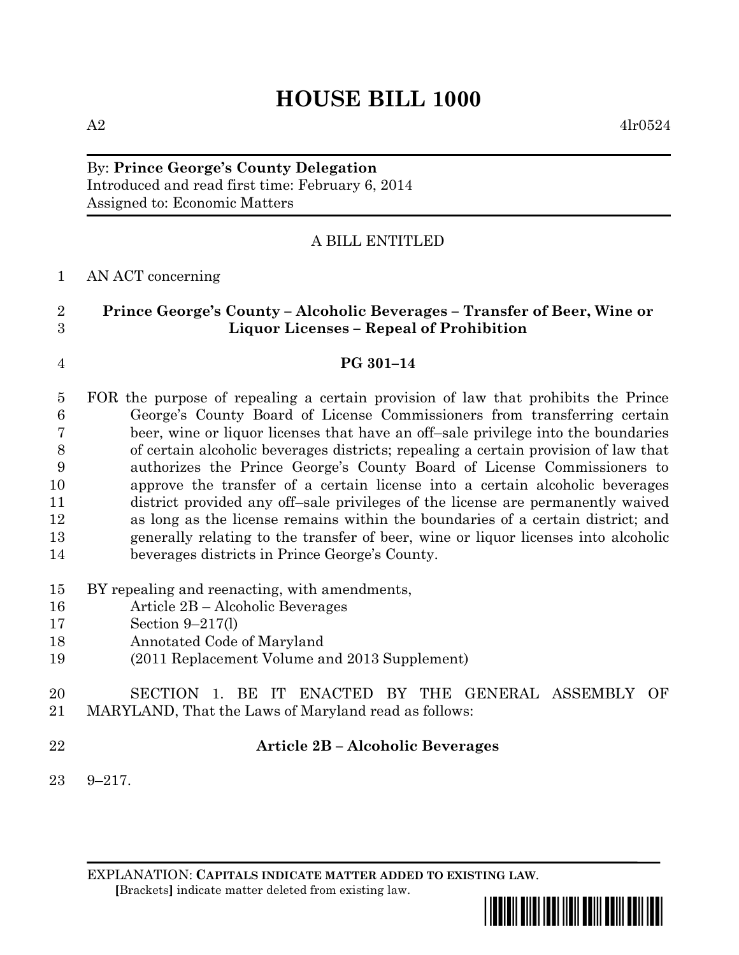# **HOUSE BILL 1000**

# By: **Prince George's County Delegation** Introduced and read first time: February 6, 2014 Assigned to: Economic Matters

# A BILL ENTITLED

# AN ACT concerning

| $\overline{2}$  | Prince George's County - Alcoholic Beverages - Transfer of Beer, Wine or            |
|-----------------|-------------------------------------------------------------------------------------|
| 3               | <b>Liquor Licenses - Repeal of Prohibition</b>                                      |
| $\overline{4}$  | PG 301-14                                                                           |
| $\overline{5}$  | FOR the purpose of repealing a certain provision of law that prohibits the Prince   |
| $6\phantom{.}6$ | George's County Board of License Commissioners from transferring certain            |
| 7               | beer, wine or liquor licenses that have an off-sale privilege into the boundaries   |
| $8\,$           | of certain alcoholic beverages districts; repealing a certain provision of law that |
| 9               | authorizes the Prince George's County Board of License Commissioners to             |
| 10              | approve the transfer of a certain license into a certain alcoholic beverages        |
| 11              | district provided any off-sale privileges of the license are permanently waived     |
| 12              | as long as the license remains within the boundaries of a certain district; and     |
| 13              | generally relating to the transfer of beer, wine or liquor licenses into alcoholic  |
| 14              | beverages districts in Prince George's County.                                      |
| 15              | BY repealing and reenacting, with amendments,                                       |
| 16              | Article 2B – Alcoholic Beverages                                                    |
| 17              | Section $9-217(l)$                                                                  |
| 18              | Annotated Code of Maryland                                                          |
| 19              | (2011 Replacement Volume and 2013 Supplement)                                       |
| 20              | 1. BE IT ENACTED BY THE GENERAL ASSEMBLY OF<br><b>SECTION</b>                       |
| 21              | MARYLAND, That the Laws of Maryland read as follows:                                |
| 22              | <b>Article 2B - Alcoholic Beverages</b>                                             |
| 23              | $9 - 217.$                                                                          |

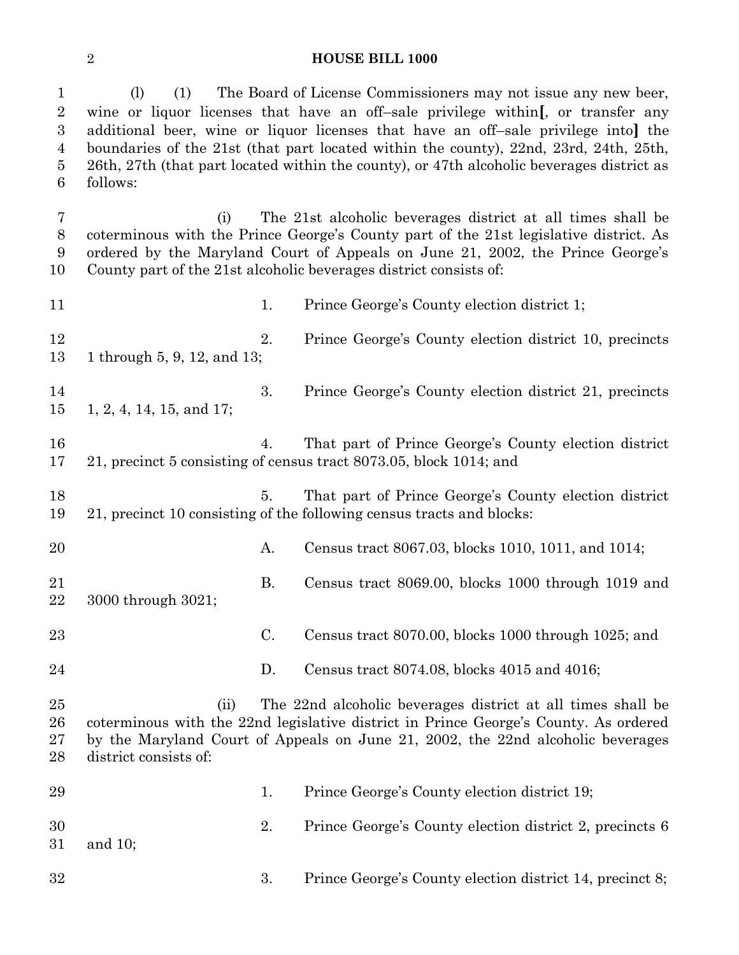#### **HOUSE BILL 1000**

 (l) (1) The Board of License Commissioners may not issue any new beer, wine or liquor licenses that have an off–sale privilege within**[**, or transfer any additional beer, wine or liquor licenses that have an off–sale privilege into**]** the boundaries of the 21st (that part located within the county), 22nd, 23rd, 24th, 25th, 26th, 27th (that part located within the county), or 47th alcoholic beverages district as follows:

 (i) The 21st alcoholic beverages district at all times shall be coterminous with the Prince George's County part of the 21st legislative district. As ordered by the Maryland Court of Appeals on June 21, 2002, the Prince George's County part of the 21st alcoholic beverages district consists of:

11 1. Prince George's County election district 1; 12 2. Prince George's County election district 10, precincts 1 through 5, 9, 12, and 13; 3. Prince George's County election district 21, precincts 1, 2, 4, 14, 15, and 17; 4. That part of Prince George's County election district 21, precinct 5 consisting of census tract 8073.05, block 1014; and 18 5. That part of Prince George's County election district 21, precinct 10 consisting of the following census tracts and blocks: A. Census tract 8067.03, blocks 1010, 1011, and 1014; B. Census tract 8069.00, blocks 1000 through 1019 and 3000 through 3021; C. Census tract 8070.00, blocks 1000 through 1025; and D. Census tract 8074.08, blocks 4015 and 4016; (ii) The 22nd alcoholic beverages district at all times shall be coterminous with the 22nd legislative district in Prince George's County. As ordered by the Maryland Court of Appeals on June 21, 2002, the 22nd alcoholic beverages district consists of: 1. Prince George's County election district 19; 2. Prince George's County election district 2, precincts 6 and 10; 3. Prince George's County election district 14, precinct 8;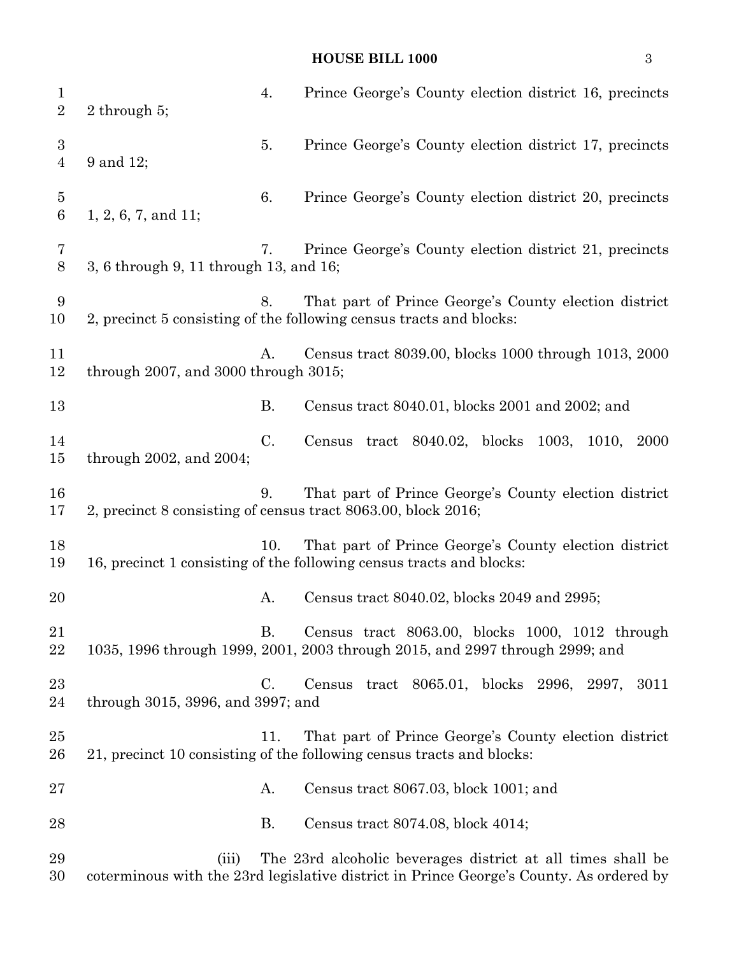# **HOUSE BILL 1000** 3

| $\mathbf{1}$<br>$\overline{2}$     | 2 through $5$ ;                              | 4.        | Prince George's County election district 16, precincts                                                                                                 |
|------------------------------------|----------------------------------------------|-----------|--------------------------------------------------------------------------------------------------------------------------------------------------------|
| $\boldsymbol{3}$<br>$\overline{4}$ | 9 and 12;                                    | 5.        | Prince George's County election district 17, precincts                                                                                                 |
| $\overline{5}$<br>$\,6\,$          | $1, 2, 6, 7,$ and $11;$                      | 6.        | Prince George's County election district 20, precincts                                                                                                 |
| 7<br>$8\,$                         | 3, 6 through 9, 11 through 13, and 16;       | 7.        | Prince George's County election district 21, precincts                                                                                                 |
| 9<br>10                            |                                              | 8.        | That part of Prince George's County election district<br>2, precinct 5 consisting of the following census tracts and blocks:                           |
| 11<br>12                           | through $2007$ , and $3000$ through $3015$ ; | A.        | Census tract 8039.00, blocks 1000 through 1013, 2000                                                                                                   |
| 13                                 |                                              | В.        | Census tract 8040.01, blocks 2001 and 2002; and                                                                                                        |
| 14<br>15                           | through $2002$ , and $2004$ ;                | C.        | Census tract 8040.02, blocks 1003, 1010,<br>2000                                                                                                       |
| 16<br>17                           |                                              | 9.        | That part of Prince George's County election district<br>2, precinct 8 consisting of census tract 8063.00, block 2016;                                 |
| 18<br>19                           |                                              | 10.       | That part of Prince George's County election district<br>16, precinct 1 consisting of the following census tracts and blocks:                          |
| 20                                 |                                              | А.        | Census tract 8040.02, blocks 2049 and 2995;                                                                                                            |
| 21<br>22                           |                                              | В.        | Census tract 8063.00, blocks 1000, 1012 through<br>1035, 1996 through 1999, 2001, 2003 through 2015, and 2997 through 2999; and                        |
| 23<br>24                           | through 3015, 3996, and 3997; and            | C.        | Census tract 8065.01, blocks 2996, 2997,<br>3011                                                                                                       |
| 25<br>26                           |                                              | 11.       | That part of Prince George's County election district<br>21, precinct 10 consisting of the following census tracts and blocks:                         |
| 27                                 |                                              | A.        | Census tract 8067.03, block 1001; and                                                                                                                  |
| 28                                 |                                              | <b>B.</b> | Census tract 8074.08, block 4014;                                                                                                                      |
| 29<br>30                           | (iii)                                        |           | The 23rd alcoholic beverages district at all times shall be<br>coterminous with the 23rd legislative district in Prince George's County. As ordered by |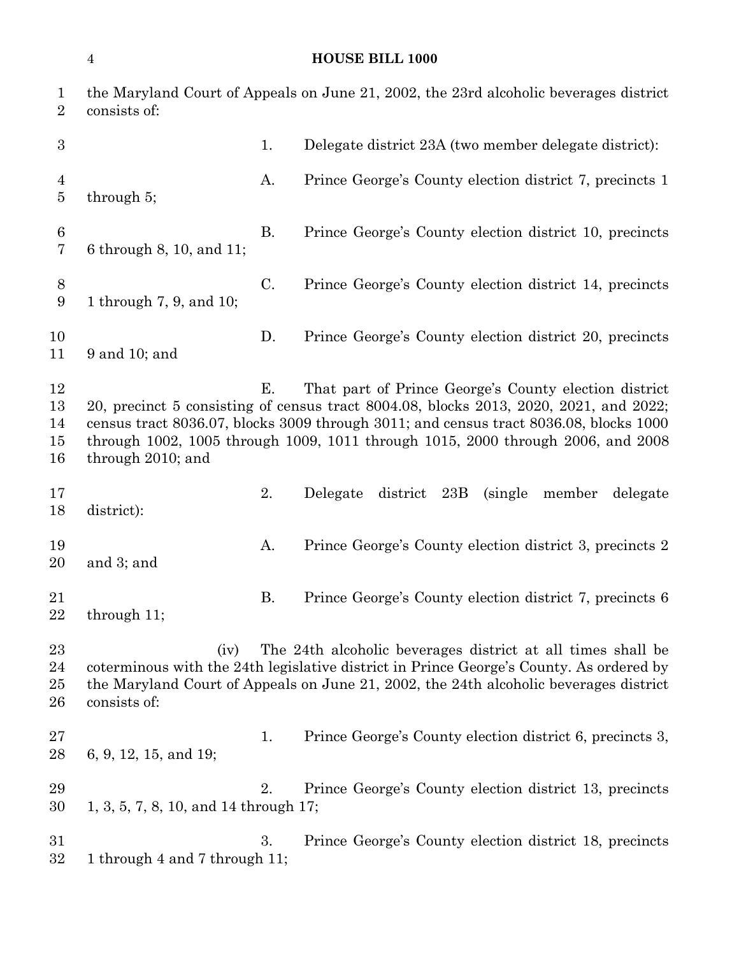# **HOUSE BILL 1000**

| 1<br>$\overline{2}$          | consists of:                              |             | the Maryland Court of Appeals on June 21, 2002, the 23rd alcoholic beverages district                                                                                                                                                                                                                                      |
|------------------------------|-------------------------------------------|-------------|----------------------------------------------------------------------------------------------------------------------------------------------------------------------------------------------------------------------------------------------------------------------------------------------------------------------------|
| $\boldsymbol{3}$             |                                           | 1.          | Delegate district 23A (two member delegate district):                                                                                                                                                                                                                                                                      |
| 4<br>5                       | through $5$ ;                             | A.          | Prince George's County election district 7, precincts 1                                                                                                                                                                                                                                                                    |
| $6\phantom{.}6$<br>7         | 6 through 8, 10, and 11;                  | В.          | Prince George's County election district 10, precincts                                                                                                                                                                                                                                                                     |
| 8<br>9                       | 1 through 7, 9, and 10;                   | $C_{\cdot}$ | Prince George's County election district 14, precincts                                                                                                                                                                                                                                                                     |
| 10<br>11                     | 9 and 10; and                             | D.          | Prince George's County election district 20, precincts                                                                                                                                                                                                                                                                     |
| 12<br>13<br>14<br>15<br>16   | through 2010; and                         | Е.          | That part of Prince George's County election district<br>20, precinct 5 consisting of census tract 8004.08, blocks 2013, 2020, 2021, and 2022;<br>census tract 8036.07, blocks 3009 through 3011; and census tract 8036.08, blocks 1000<br>through 1002, 1005 through 1009, 1011 through 1015, 2000 through 2006, and 2008 |
| 17<br>18                     | district:                                 | 2.          | district 23B<br>member<br>Delegate<br>(single)<br>delegate                                                                                                                                                                                                                                                                 |
| 19<br>20                     | and 3; and                                | A.          | Prince George's County election district 3, precincts 2                                                                                                                                                                                                                                                                    |
| 21<br>22                     | through 11;                               | <b>B.</b>   | Prince George's County election district 7, precincts 6                                                                                                                                                                                                                                                                    |
| $23\,$<br>24<br>$25\,$<br>26 | (iv)<br>consists of:                      |             | The 24th alcoholic beverages district at all times shall be<br>coterminous with the 24th legislative district in Prince George's County. As ordered by<br>the Maryland Court of Appeals on June 21, 2002, the 24th alcoholic beverages district                                                                            |
| 27<br>28                     | 6, 9, 12, 15, and 19;                     | 1.          | Prince George's County election district 6, precincts 3,                                                                                                                                                                                                                                                                   |
| 29<br>30                     | $1, 3, 5, 7, 8, 10,$ and $14$ through 17; | 2.          | Prince George's County election district 13, precincts                                                                                                                                                                                                                                                                     |
| 31<br>$32\,$                 | 1 through 4 and 7 through 11;             | 3.          | Prince George's County election district 18, precincts                                                                                                                                                                                                                                                                     |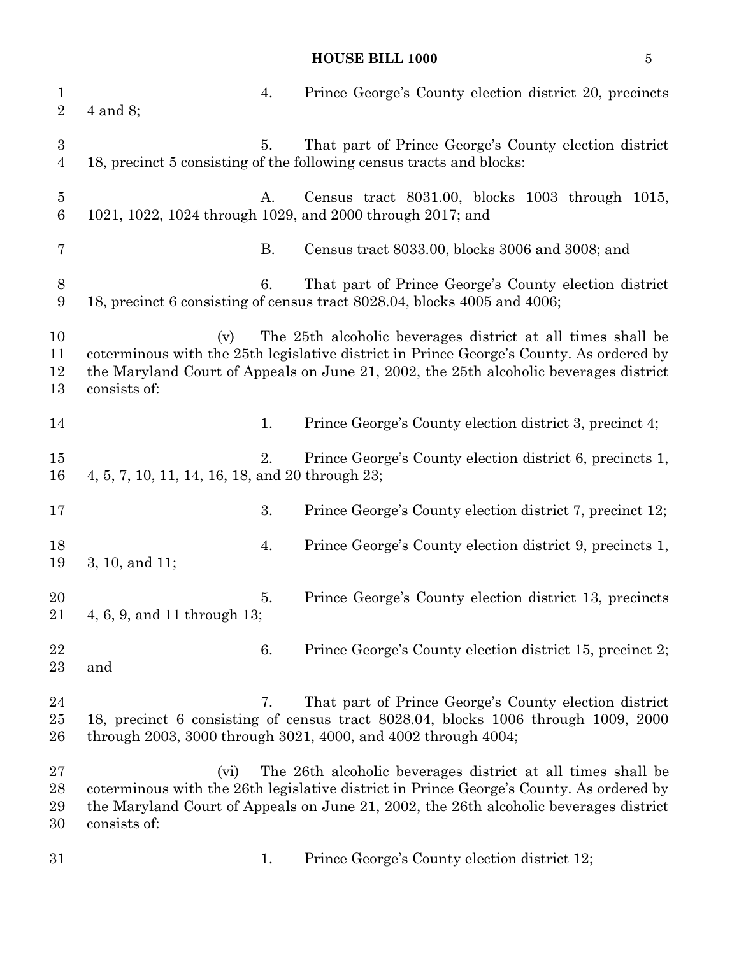# **HOUSE BILL 1000** 5

| $\mathbf{1}$<br>$\overline{2}$     | $4$ and $8$ ;                                   | 4.        | Prince George's County election district 20, precincts                                                                                                                                                                                          |
|------------------------------------|-------------------------------------------------|-----------|-------------------------------------------------------------------------------------------------------------------------------------------------------------------------------------------------------------------------------------------------|
| $\boldsymbol{3}$<br>$\overline{4}$ |                                                 | 5.        | That part of Prince George's County election district<br>18, precinct 5 consisting of the following census tracts and blocks:                                                                                                                   |
| $\bf 5$<br>$\,6\,$                 |                                                 | А.        | Census tract 8031.00, blocks 1003 through 1015,<br>1021, 1022, 1024 through 1029, and 2000 through 2017; and                                                                                                                                    |
| 7                                  |                                                 | <b>B.</b> | Census tract 8033.00, blocks 3006 and 3008; and                                                                                                                                                                                                 |
| $8\,$<br>9                         |                                                 | 6.        | That part of Prince George's County election district<br>18, precinct 6 consisting of census tract 8028.04, blocks 4005 and 4006;                                                                                                               |
| 10<br>11<br>12<br>13               | (v)<br>consists of:                             |           | The 25th alcoholic beverages district at all times shall be<br>coterminous with the 25th legislative district in Prince George's County. As ordered by<br>the Maryland Court of Appeals on June 21, 2002, the 25th alcoholic beverages district |
| 14                                 |                                                 | 1.        | Prince George's County election district 3, precinct 4;                                                                                                                                                                                         |
| 15<br>16                           | 4, 5, 7, 10, 11, 14, 16, 18, and 20 through 23; | 2.        | Prince George's County election district 6, precincts 1,                                                                                                                                                                                        |
| 17                                 |                                                 | 3.        | Prince George's County election district 7, precinct 12;                                                                                                                                                                                        |
| 18<br>19                           | 3, 10, and 11;                                  | 4.        | Prince George's County election district 9, precincts 1,                                                                                                                                                                                        |
| 20<br>21                           | 4, 6, 9, and 11 through 13;                     | 5.        | Prince George's County election district 13, precincts                                                                                                                                                                                          |
| 22<br>23                           | and                                             | 6.        | Prince George's County election district 15, precinct 2;                                                                                                                                                                                        |
| 24<br>25<br>26                     |                                                 | 7.        | That part of Prince George's County election district<br>18, precinct 6 consisting of census tract 8028.04, blocks 1006 through 1009, 2000<br>through 2003, 3000 through 3021, 4000, and 4002 through 4004;                                     |
| 27<br>28<br>29<br>30               | (vi)<br>consists of:                            |           | The 26th alcoholic beverages district at all times shall be<br>coterminous with the 26th legislative district in Prince George's County. As ordered by<br>the Maryland Court of Appeals on June 21, 2002, the 26th alcoholic beverages district |
| 31                                 |                                                 | 1.        | Prince George's County election district 12;                                                                                                                                                                                                    |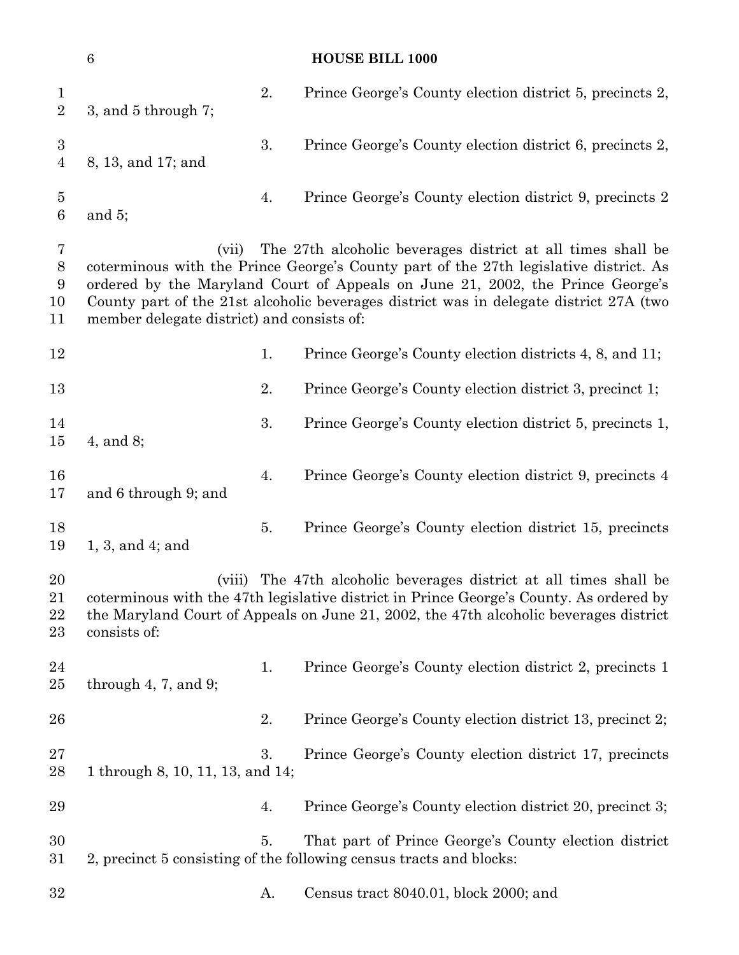|                                          | $\,6\,$                                             |    | <b>HOUSE BILL 1000</b>                                                                                                                                                                                                                                                                                                           |
|------------------------------------------|-----------------------------------------------------|----|----------------------------------------------------------------------------------------------------------------------------------------------------------------------------------------------------------------------------------------------------------------------------------------------------------------------------------|
| $\mathbf{1}$<br>$\overline{2}$           | 3, and $5$ through 7;                               | 2. | Prince George's County election district 5, precincts 2,                                                                                                                                                                                                                                                                         |
| $\sqrt{3}$<br>$\overline{4}$             | 8, 13, and 17; and                                  | 3. | Prince George's County election district 6, precincts 2,                                                                                                                                                                                                                                                                         |
| $\overline{5}$<br>$\,6\,$                | and $5$ ;                                           | 4. | Prince George's County election district 9, precincts 2                                                                                                                                                                                                                                                                          |
| $\overline{7}$<br>$8\,$<br>9<br>10<br>11 | (vii)<br>member delegate district) and consists of: |    | The 27th alcoholic beverages district at all times shall be<br>coterminous with the Prince George's County part of the 27th legislative district. As<br>ordered by the Maryland Court of Appeals on June 21, 2002, the Prince George's<br>County part of the 21st alcoholic beverages district was in delegate district 27A (two |
| 12                                       |                                                     | 1. | Prince George's County election districts 4, 8, and 11;                                                                                                                                                                                                                                                                          |
| 13                                       |                                                     | 2. | Prince George's County election district 3, precinct 1;                                                                                                                                                                                                                                                                          |
| 14<br>15                                 | $4$ , and $8$ ;                                     | 3. | Prince George's County election district 5, precincts 1,                                                                                                                                                                                                                                                                         |
| 16<br>17                                 | and 6 through 9; and                                | 4. | Prince George's County election district 9, precincts 4                                                                                                                                                                                                                                                                          |
| 18<br>19                                 | $1, 3,$ and $4$ ; and                               | 5. | Prince George's County election district 15, precincts                                                                                                                                                                                                                                                                           |
| 20<br>21<br>22<br>23                     | (viii)<br>consists of:                              |    | The 47th alcoholic beverages district at all times shall be<br>coterminous with the 47th legislative district in Prince George's County. As ordered by<br>the Maryland Court of Appeals on June 21, 2002, the 47th alcoholic beverages district                                                                                  |
| 24<br>25                                 | through $4, 7,$ and $9$ ;                           | 1. | Prince George's County election district 2, precincts 1                                                                                                                                                                                                                                                                          |
| 26                                       |                                                     | 2. | Prince George's County election district 13, precinct 2;                                                                                                                                                                                                                                                                         |
| 27<br>28                                 | 1 through 8, 10, 11, 13, and 14;                    | 3. | Prince George's County election district 17, precincts                                                                                                                                                                                                                                                                           |
| 29                                       |                                                     | 4. | Prince George's County election district 20, precinct 3;                                                                                                                                                                                                                                                                         |
| 30<br>31                                 |                                                     | 5. | That part of Prince George's County election district<br>2, precinct 5 consisting of the following census tracts and blocks:                                                                                                                                                                                                     |
| 32                                       |                                                     | A. | Census tract 8040.01, block 2000; and                                                                                                                                                                                                                                                                                            |